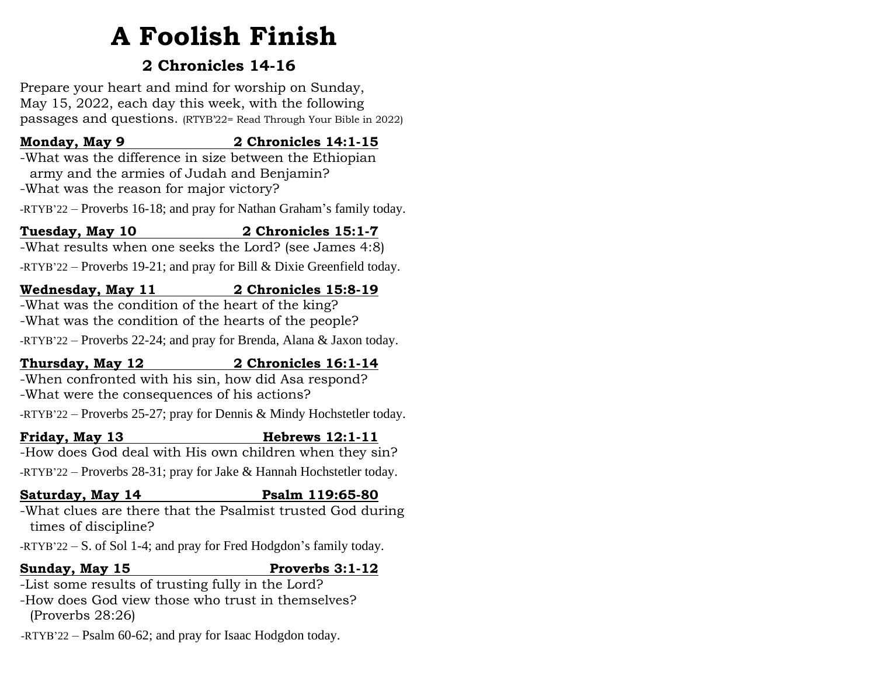# **A Foolish Finish**

# **2 Chronicles 14-16**

Prepare your heart and mind for worship on Sunday, May 15, 2022, each day this week, with the following passages and questions. (RTYB'22= Read Through Your Bible in 2022)

#### **Monday, May 9 2 Chronicles 14:1-15**

-What was the difference in size between the Ethiopian army and the armies of Judah and Benjamin? -What was the reason for major victory?

-RTYB'22 – Proverbs 16-18; and pray for Nathan Graham's family today.

### **Tuesday, May 10 2 Chronicles 15:1-7**

-What results when one seeks the Lord? (see James 4:8) -RTYB'22 – Proverbs 19-21; and pray for Bill & Dixie Greenfield today.

#### **Wednesday, May 11 2 Chronicles 15:8-19**

-What was the condition of the heart of the king? -What was the condition of the hearts of the people?

-RTYB'22 – Proverbs 22-24; and pray for Brenda, Alana & Jaxon today.

### **Thursday, May 12 2 Chronicles 16:1-14**

-When confronted with his sin, how did Asa respond? -What were the consequences of his actions?

-RTYB'22 – Proverbs 25-27; pray for Dennis & Mindy Hochstetler today.

## **Friday, May 13 Hebrews 12:1-11**

-How does God deal with His own children when they sin?

-RTYB'22 – Proverbs 28-31; pray for Jake & Hannah Hochstetler today.

## **Saturday, May 14 Psalm 119:65-80**

-What clues are there that the Psalmist trusted God during times of discipline?

-RTYB'22 – S. of Sol 1-4; and pray for Fred Hodgdon's family today.

# **Sunday, May 15 Proverbs 3:1-12**

-List some results of trusting fully in the Lord?

-How does God view those who trust in themselves? (Proverbs 28:26)

-RTYB'22 – Psalm 60-62; and pray for Isaac Hodgdon today.